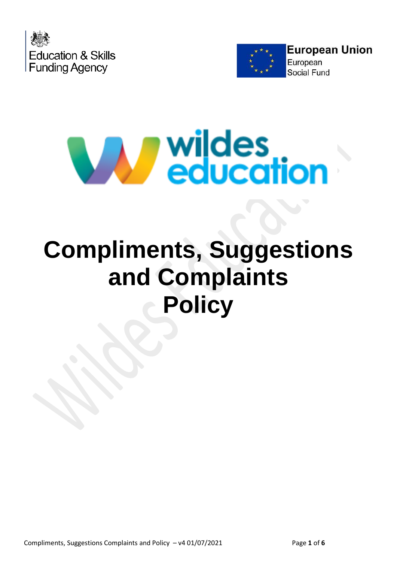





# **Compliments, Suggestions and Complaints Policy**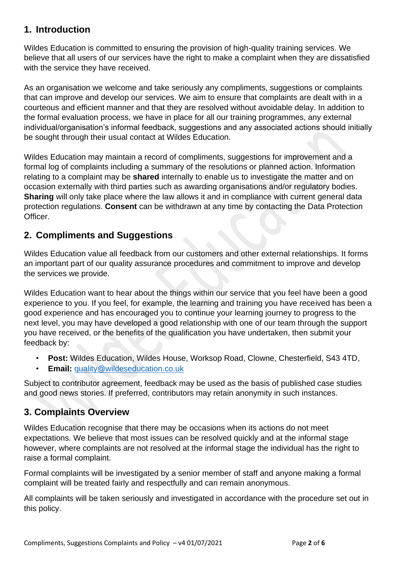#### **1. Introduction**

Wildes Education is committed to ensuring the provision of high-quality training services. We believe that all users of our services have the right to make a complaint when they are dissatisfied with the service they have received.

As an organisation we welcome and take seriously any compliments, suggestions or complaints that can improve and develop our services. We aim to ensure that complaints are dealt with in a courteous and efficient manner and that they are resolved without avoidable delay. In addition to the formal evaluation process, we have in place for all our training programmes, any external individual/organisation's informal feedback, suggestions and any associated actions should initially be sought through their usual contact at Wildes Education.

Wildes Education may maintain a record of compliments, suggestions for improvement and a formal log of complaints including a summary of the resolutions or planned action. Information relating to a complaint may be **shared** internally to enable us to investigate the matter and on occasion externally with third parties such as awarding organisations and/or regulatory bodies. **Sharing** will only take place where the law allows it and in compliance with current general data protection regulations. **Consent** can be withdrawn at any time by contacting the Data Protection Officer.

#### **2. Compliments and Suggestions**

Wildes Education value all feedback from our customers and other external relationships. It forms an important part of our quality assurance procedures and commitment to improve and develop the services we provide.

Wildes Education want to hear about the things within our service that you feel have been a good experience to you. If you feel, for example, the learning and training you have received has been a good experience and has encouraged you to continue your learning journey to progress to the next level, you may have developed a good relationship with one of our team through the support you have received, or the benefits of the qualification you have undertaken, then submit your feedback by:

- **Post:** Wildes Education, Wildes House, Worksop Road, Clowne, Chesterfield, S43 4TD,
- **Email:** [quality@wildeseducation.co.uk](mailto:quality@wildeseducation.co.uk)

Subject to contributor agreement, feedback may be used as the basis of published case studies and good news stories. If preferred, contributors may retain anonymity in such instances.

#### **3. Complaints Overview**

Wildes Education recognise that there may be occasions when its actions do not meet expectations. We believe that most issues can be resolved quickly and at the informal stage however, where complaints are not resolved at the informal stage the individual has the right to raise a formal complaint.

Formal complaints will be investigated by a senior member of staff and anyone making a formal complaint will be treated fairly and respectfully and can remain anonymous.

All complaints will be taken seriously and investigated in accordance with the procedure set out in this policy.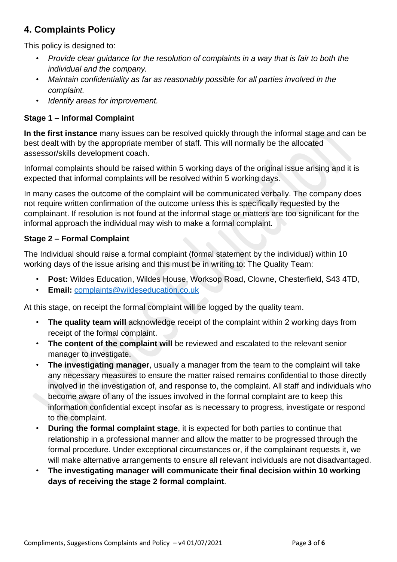### **4. Complaints Policy**

This policy is designed to:

- *Provide clear guidance for the resolution of complaints in a way that is fair to both the individual and the company.*
- *Maintain confidentiality as far as reasonably possible for all parties involved in the complaint.*
- *Identify areas for improvement.*

#### **Stage 1 – Informal Complaint**

**In the first instance** many issues can be resolved quickly through the informal stage and can be best dealt with by the appropriate member of staff. This will normally be the allocated assessor/skills development coach.

Informal complaints should be raised within 5 working days of the original issue arising and it is expected that informal complaints will be resolved within 5 working days.

In many cases the outcome of the complaint will be communicated verbally. The company does not require written confirmation of the outcome unless this is specifically requested by the complainant. If resolution is not found at the informal stage or matters are too significant for the informal approach the individual may wish to make a formal complaint.

#### **Stage 2 – Formal Complaint**

The Individual should raise a formal complaint (formal statement by the individual) within 10 working days of the issue arising and this must be in writing to: The Quality Team:

- **Post:** Wildes Education, Wildes House, Worksop Road, Clowne, Chesterfield, S43 4TD,
- **Email:** [complaints@wildeseducation.co.uk](mailto:complaints@wildeseducation.co.uk)

At this stage, on receipt the formal complaint will be logged by the quality team.

- **The quality team will** acknowledge receipt of the complaint within 2 working days from receipt of the formal complaint.
- **The content of the complaint will** be reviewed and escalated to the relevant senior manager to investigate.
- **The investigating manager**, usually a manager from the team to the complaint will take any necessary measures to ensure the matter raised remains confidential to those directly involved in the investigation of, and response to, the complaint. All staff and individuals who become aware of any of the issues involved in the formal complaint are to keep this information confidential except insofar as is necessary to progress, investigate or respond to the complaint.
- **During the formal complaint stage**, it is expected for both parties to continue that relationship in a professional manner and allow the matter to be progressed through the formal procedure. Under exceptional circumstances or, if the complainant requests it, we will make alternative arrangements to ensure all relevant individuals are not disadvantaged.
- **The investigating manager will communicate their final decision within 10 working days of receiving the stage 2 formal complaint**.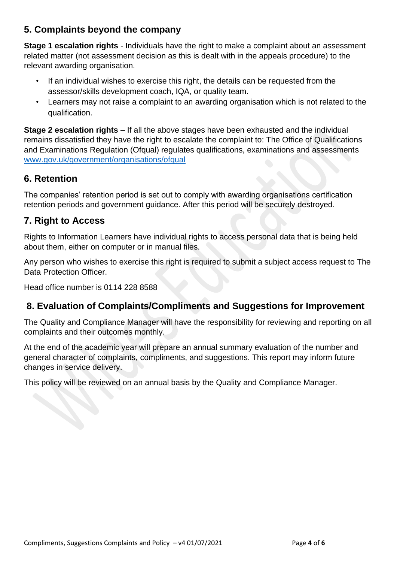#### **5. Complaints beyond the company**

**Stage 1 escalation rights** - Individuals have the right to make a complaint about an assessment related matter (not assessment decision as this is dealt with in the appeals procedure) to the relevant awarding organisation.

- If an individual wishes to exercise this right, the details can be requested from the assessor/skills development coach, IQA, or quality team.
- Learners may not raise a complaint to an awarding organisation which is not related to the qualification.

**Stage 2 escalation rights** – If all the above stages have been exhausted and the individual remains dissatisfied they have the right to escalate the complaint to: The Office of Qualifications and Examinations Regulation (Ofqual) regulates qualifications, examinations and assessments [www.gov.uk/government/organisations/ofqual](http://www.gov.uk/government/organisations/ofqual)

#### **6. Retention**

The companies' retention period is set out to comply with awarding organisations certification retention periods and government guidance. After this period will be securely destroyed.

#### **7. Right to Access**

Rights to Information Learners have individual rights to access personal data that is being held about them, either on computer or in manual files.

Any person who wishes to exercise this right is required to submit a subject access request to The Data Protection Officer.

Head office number is 0114 228 8588

### **8. Evaluation of Complaints/Compliments and Suggestions for Improvement**

The Quality and Compliance Manager will have the responsibility for reviewing and reporting on all complaints and their outcomes monthly.

At the end of the academic year will prepare an annual summary evaluation of the number and general character of complaints, compliments, and suggestions. This report may inform future changes in service delivery.

This policy will be reviewed on an annual basis by the Quality and Compliance Manager.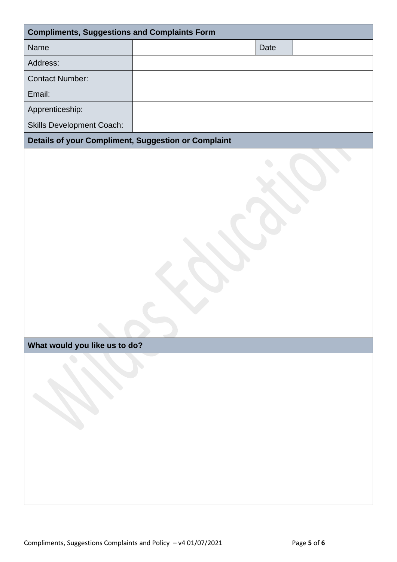| <b>Compliments, Suggestions and Complaints Form</b> |  |      |  |  |  |  |
|-----------------------------------------------------|--|------|--|--|--|--|
| <b>Name</b>                                         |  | Date |  |  |  |  |
| Address:                                            |  |      |  |  |  |  |
| <b>Contact Number:</b>                              |  |      |  |  |  |  |
| Email:                                              |  |      |  |  |  |  |
| Apprenticeship:                                     |  |      |  |  |  |  |
| <b>Skills Development Coach:</b>                    |  |      |  |  |  |  |
| Details of your Compliment, Suggestion or Complaint |  |      |  |  |  |  |
|                                                     |  |      |  |  |  |  |

## **What would you like us to do?**